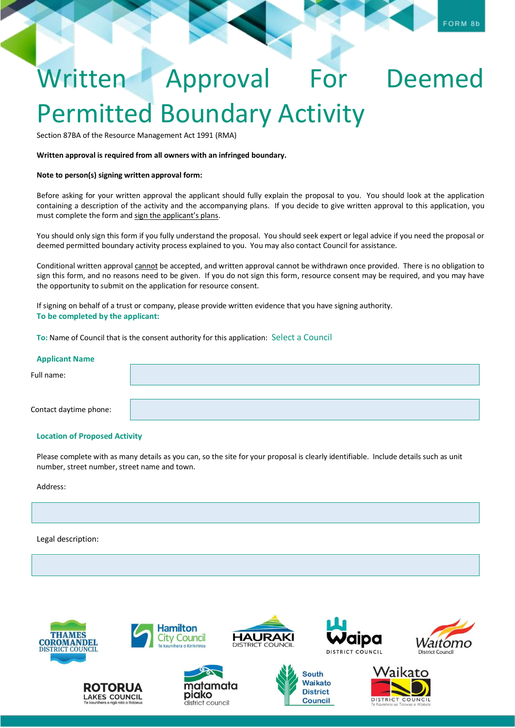# Written Approval For Deemed Permitted Boundary Activity

Section 87BA of the Resource Management Act 1991 (RMA)

#### **Written approval is required from all owners with an infringed boundary.**

#### **Note to person(s) signing written approval form:**

Before asking for your written approval the applicant should fully explain the proposal to you. You should look at the application containing a description of the activity and the accompanying plans. If you decide to give written approval to this application, you must complete the form and sign the applicant's plans.

You should only sign this form if you fully understand the proposal. You should seek expert or legal advice if you need the proposal or deemed permitted boundary activity process explained to you. You may also contact Council for assistance.

Conditional written approval cannot be accepted, and written approval cannot be withdrawn once provided. There is no obligation to sign this form, and no reasons need to be given. If you do not sign this form, resource consent may be required, and you may have the opportunity to submit on the application for resource consent.

If signing on behalf of a trust or company, please provide written evidence that you have signing authority. **To be completed by the applicant:**

**To:** Name of Council that is the consent authority for this application: Select a Council

| <b>Applicant Name</b>  |  |
|------------------------|--|
| Full name:             |  |
|                        |  |
| Contact daytime phone: |  |

# **Location of Proposed Activity**

Please complete with as many details as you can, so the site for your proposal is clearly identifiable. Include details such as unit number, street number, street name and town.

Address:

Legal description:







district council

**Hamilton** 



**Council** 





FORM 8b



COUNCIL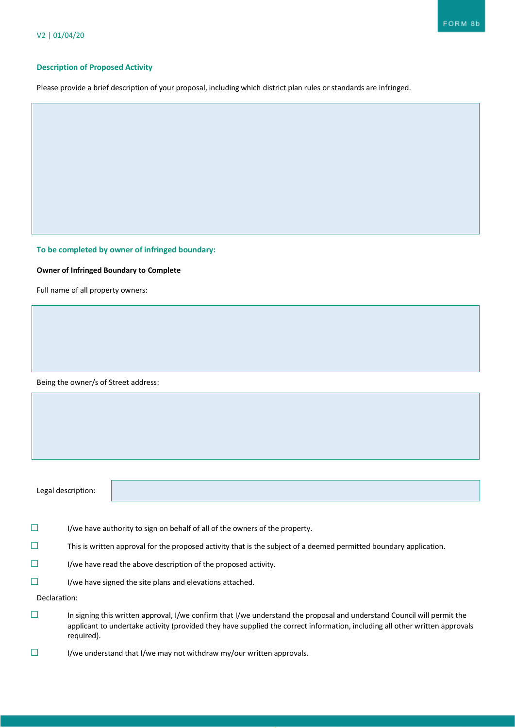#### **Description of Proposed Activity**

Please provide a brief description of your proposal, including which district plan rules or standards are infringed.

# **To be completed by owner of infringed boundary:**

### **Owner of Infringed Boundary to Complete**

Full name of all property owners:

Being the owner/s of Street address:

Legal description:

- ☐ I/we have authority to sign on behalf of all of the owners of the property.
- $\Box$  This is written approval for the proposed activity that is the subject of a deemed permitted boundary application.
- $\Box$  I/we have read the above description of the proposed activity.
- ☐ I/we have signed the site plans and elevations attached.

Declaration:

- ☐ In signing this written approval, I/we confirm that I/we understand the proposal and understand Council will permit the applicant to undertake activity (provided they have supplied the correct information, including all other written approvals required).
- ☐ I/we understand that I/we may not withdraw my/our written approvals.